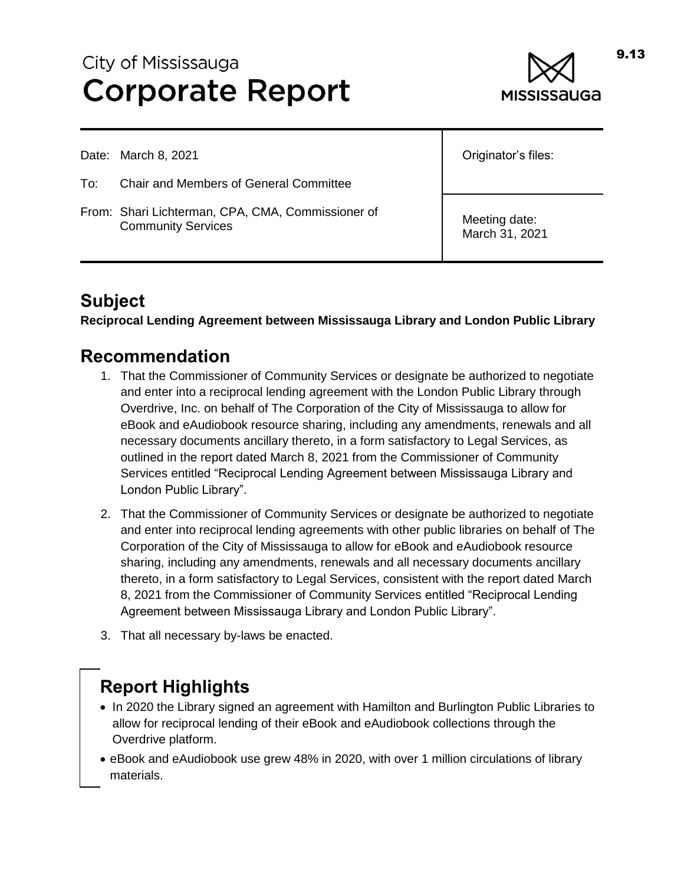# City of Mississauga **Corporate Report**



Date: March 8, 2021

- To: Chair and Members of General Committee
- From: Shari Lichterman, CPA, CMA, Commissioner of Community Services

Originator's files:

Meeting date: March 31, 2021

# **Subject**

**Reciprocal Lending Agreement between Mississauga Library and London Public Library**

#### **Recommendation**

- 1. That the Commissioner of Community Services or designate be authorized to negotiate and enter into a reciprocal lending agreement with the London Public Library through Overdrive, Inc. on behalf of The Corporation of the City of Mississauga to allow for eBook and eAudiobook resource sharing, including any amendments, renewals and all necessary documents ancillary thereto, in a form satisfactory to Legal Services, as outlined in the report dated March 8, 2021 from the Commissioner of Community Services entitled "Reciprocal Lending Agreement between Mississauga Library and London Public Library".
- 2. That the Commissioner of Community Services or designate be authorized to negotiate and enter into reciprocal lending agreements with other public libraries on behalf of The Corporation of the City of Mississauga to allow for eBook and eAudiobook resource sharing, including any amendments, renewals and all necessary documents ancillary thereto, in a form satisfactory to Legal Services, consistent with the report dated March 8, 2021 from the Commissioner of Community Services entitled "Reciprocal Lending Agreement between Mississauga Library and London Public Library".
- 3. That all necessary by-laws be enacted.

# **Report Highlights**

- In 2020 the Library signed an agreement with Hamilton and Burlington Public Libraries to allow for reciprocal lending of their eBook and eAudiobook collections through the Overdrive platform.
- eBook and eAudiobook use grew 48% in 2020, with over 1 million circulations of library materials.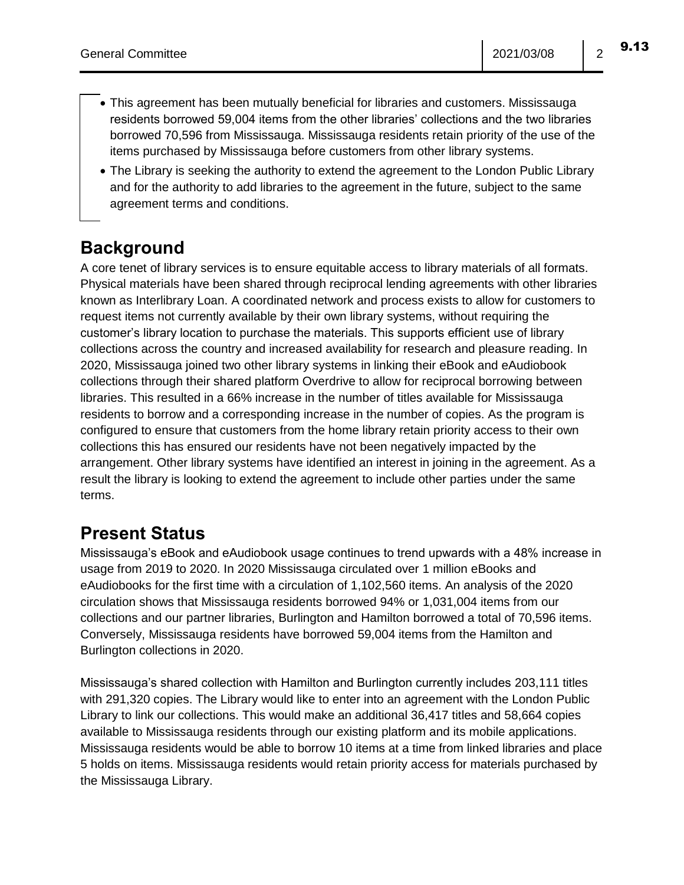- This agreement has been mutually beneficial for libraries and customers. Mississauga residents borrowed 59,004 items from the other libraries' collections and the two libraries borrowed 70,596 from Mississauga. Mississauga residents retain priority of the use of the items purchased by Mississauga before customers from other library systems.
- The Library is seeking the authority to extend the agreement to the London Public Library and for the authority to add libraries to the agreement in the future, subject to the same agreement terms and conditions.

#### **Background**

A core tenet of library services is to ensure equitable access to library materials of all formats. Physical materials have been shared through reciprocal lending agreements with other libraries known as Interlibrary Loan. A coordinated network and process exists to allow for customers to request items not currently available by their own library systems, without requiring the customer's library location to purchase the materials. This supports efficient use of library collections across the country and increased availability for research and pleasure reading. In 2020, Mississauga joined two other library systems in linking their eBook and eAudiobook collections through their shared platform Overdrive to allow for reciprocal borrowing between libraries. This resulted in a 66% increase in the number of titles available for Mississauga residents to borrow and a corresponding increase in the number of copies. As the program is configured to ensure that customers from the home library retain priority access to their own collections this has ensured our residents have not been negatively impacted by the arrangement. Other library systems have identified an interest in joining in the agreement. As a result the library is looking to extend the agreement to include other parties under the same terms.

# **Present Status**

Mississauga's eBook and eAudiobook usage continues to trend upwards with a 48% increase in usage from 2019 to 2020. In 2020 Mississauga circulated over 1 million eBooks and eAudiobooks for the first time with a circulation of 1,102,560 items. An analysis of the 2020 circulation shows that Mississauga residents borrowed 94% or 1,031,004 items from our collections and our partner libraries, Burlington and Hamilton borrowed a total of 70,596 items. Conversely, Mississauga residents have borrowed 59,004 items from the Hamilton and Burlington collections in 2020.

Mississauga's shared collection with Hamilton and Burlington currently includes 203,111 titles with 291,320 copies. The Library would like to enter into an agreement with the London Public Library to link our collections. This would make an additional 36,417 titles and 58,664 copies available to Mississauga residents through our existing platform and its mobile applications. Mississauga residents would be able to borrow 10 items at a time from linked libraries and place 5 holds on items. Mississauga residents would retain priority access for materials purchased by the Mississauga Library.